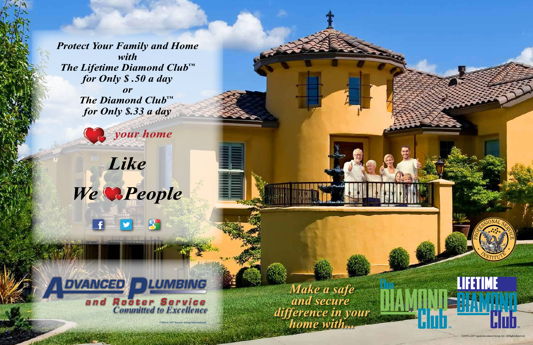*Protect Your Family and Home with The Lifetime Diamond Club™ for Only \$ .50 a day or The Diamond Club™ for Only \$.33 a day*



your home

# Like We **Reople**

**DVANCED DLUMBING** and Rooter Service<br>Committed to Excellence

**©2005 to 2017 Success Group International.** 

Make a safe and secure difference in your home with...